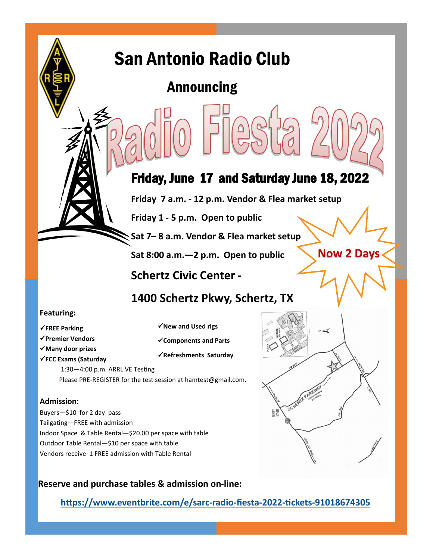# San Antonio Radio Club

# Announcing

# Friday, June 17 and Saturday June 18, 2022

**Friday 7 a.m. - 12 p.m. Vendor & Flea market setup** 

**Friday 1 - 5 p.m. Open to public**

**Sat 7– 8 a.m. Vendor & Flea market setup**

**Sat 8:00 a.m.—2 p.m. Open to public**

**Now 2 Days**

**Schertz Civic Center -**

### **1400 Schertz Pkwy, Schertz, TX**

### **Featuring:**

- ✓**FREE Parking**
- ✓**Premier Vendors**
- 
- ✓**Many door prizes**
- ✓**FCC Exams (Saturday**
- ✓**New and Used rigs**
- ✓**Components and Parts**
- ✓**Refreshments Saturday**
- 1:30—4:00 p.m. ARRL VE Testing Please PRE-REGISTER for the test session at hamtest@gmail.com.

### **Admission:**

Buyers—\$10 for 2 day pass Tailgating—FREE with admission Indoor Space & Table Rental—\$20.00 per space with table Outdoor Table Rental—\$10 per space with table Vendors receive 1 FREE admission with Table Rental

### **Reserve and purchase tables & admission on-line:**

**[https://www.eventbrite.com/e/sarc](https://www.eventbrite.com/e/sarc-radio-fiesta-2022-tickets-91018674305)-radio-fiesta-2022-tickets-91018674305**